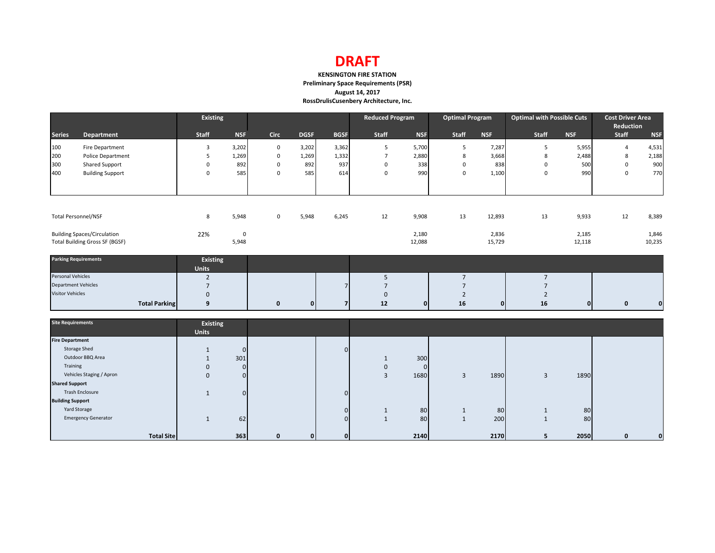# **DRAFT**

### **KENSINGTON FIRE STATION Preliminary Space Requirements (PSR) August 14, 2017 RossDrulisCusenbery Architecture, Inc.**

|                            |                                       | <b>Existing</b>                 |                |              |              |                | <b>Reduced Program</b> |             | <b>Optimal Program</b> |              | <b>Optimal with Possible Cuts</b> |              | <b>Cost Driver Area</b><br>Reduction |             |
|----------------------------|---------------------------------------|---------------------------------|----------------|--------------|--------------|----------------|------------------------|-------------|------------------------|--------------|-----------------------------------|--------------|--------------------------------------|-------------|
| <b>Series</b>              | Department                            | <b>Staff</b>                    | <b>NSF</b>     | <b>Circ</b>  | <b>DGSF</b>  | <b>BGSF</b>    | Staff                  | <b>NSF</b>  | <b>Staff</b>           | <b>NSF</b>   | Staff                             | <b>NSF</b>   | Staff                                | <b>NSF</b>  |
| 100                        | Fire Department                       | 3                               | 3,202          | $\mathbf 0$  | 3,202        | 3,362          | 5                      | 5,700       | 5                      | 7,287        | 5                                 | 5,955        | $\overline{4}$                       | 4,531       |
| 200                        | Police Department                     | 5                               | 1,269          | $\mathbf 0$  | 1,269        | 1,332          | $\overline{7}$         | 2,880       | 8                      | 3,668        | 8                                 | 2,488        | 8                                    | 2,188       |
| 300                        | Shared Support                        | $\mathbf 0$                     | 892            | $\mathbf 0$  | 892          | 937            | $\mathbf 0$            | 338         | $\mathbf 0$            | 838          | $\mathbf 0$                       | 500          | $\mathbf 0$                          | 900         |
| 400                        | <b>Building Support</b>               | $\Omega$                        | 585            | $\Omega$     | 585          | 614            | $\Omega$               | 990         | $\mathbf 0$            | 1,100        | $\mathbf 0$                       | 990          | $\mathbf{0}$                         | 770         |
|                            | <b>Total Personnel/NSF</b>            | 8                               | 5,948          | $\mathbf 0$  | 5,948        | 6,245          | 12                     | 9,908       | 13                     | 12,893       | 13                                | 9,933        | 12                                   | 8,389       |
|                            |                                       |                                 |                |              |              |                |                        |             |                        |              |                                   |              |                                      |             |
|                            | <b>Building Spaces/Circulation</b>    | 22%                             | $\mathsf 0$    |              |              |                |                        | 2,180       |                        | 2,836        |                                   | 2,185        |                                      | 1,846       |
|                            | <b>Total Building Gross SF (BGSF)</b> |                                 | 5,948          |              |              |                |                        | 12,088      |                        | 15,729       |                                   | 12,118       |                                      | 10,235      |
|                            | <b>Parking Requirements</b>           | <b>Existing</b><br><b>Units</b> |                |              |              |                |                        |             |                        |              |                                   |              |                                      |             |
| Personal Vehicles          |                                       | $\overline{2}$                  |                |              |              |                | 5                      |             | $\overline{7}$         |              | $7\overline{ }$                   |              |                                      |             |
| <b>Department Vehicles</b> |                                       | $\overline{7}$                  |                |              |              | $\overline{7}$ | $7\overline{ }$        |             | $\overline{7}$         |              | $7\overline{ }$                   |              |                                      |             |
| <b>Visitor Vehicles</b>    |                                       | $\mathbf{0}$                    |                |              |              |                | $\mathbf{0}$           |             | $\overline{2}$         |              | $\overline{2}$                    |              |                                      |             |
|                            | <b>Total Parking</b>                  | 9                               |                | $\mathbf 0$  | $\mathbf{0}$ | $\overline{7}$ | 12                     | 0           | 16                     | $\mathbf{0}$ | 16                                | $\mathbf{0}$ | 0                                    | $\mathbf 0$ |
| <b>Site Requirements</b>   |                                       | <b>Existing</b><br><b>Units</b> |                |              |              |                |                        |             |                        |              |                                   |              |                                      |             |
| <b>Fire Department</b>     |                                       |                                 |                |              |              |                |                        |             |                        |              |                                   |              |                                      |             |
|                            | <b>Storage Shed</b>                   | $\mathbf{1}$                    | $\overline{0}$ |              |              | $\overline{0}$ |                        |             |                        |              |                                   |              |                                      |             |
|                            | Outdoor BBQ Area                      | $\mathbf{1}$                    | 301            |              |              |                | 1                      | 300         |                        |              |                                   |              |                                      |             |
| Training                   |                                       | $\mathbf 0$                     | $\overline{0}$ |              |              |                | $\mathbf 0$            | $\mathbf 0$ |                        |              |                                   |              |                                      |             |
|                            | Vehicles Staging / Apron              | $\mathbf 0$                     | $\overline{0}$ |              |              |                | $\overline{3}$         | 1680        | 3                      | 1890         | $\overline{3}$                    | 1890         |                                      |             |
| <b>Shared Support</b>      |                                       |                                 |                |              |              |                |                        |             |                        |              |                                   |              |                                      |             |
|                            | <b>Trash Enclosure</b>                | $\mathbf{1}$                    | $\overline{0}$ |              |              | $\overline{0}$ |                        |             |                        |              |                                   |              |                                      |             |
| <b>Building Support</b>    |                                       |                                 |                |              |              |                |                        |             |                        |              |                                   |              |                                      |             |
|                            | Yard Storage                          |                                 |                |              |              | $\overline{0}$ | $\mathbf{1}$           | 80          | $\mathbf{1}$           | 80           | $1\,$                             | 80           |                                      |             |
|                            | <b>Emergency Generator</b>            | $\mathbf{1}$                    | 62             |              |              | $\overline{0}$ | $\mathbf{1}$           | 80          | 1                      | 200          | $\mathbf{1}$                      | 80           |                                      |             |
|                            | <b>Total Site</b>                     |                                 | 363            | $\mathbf{0}$ | $\mathbf{0}$ | $\mathbf{0}$   |                        | 2140        |                        | 2170         | 5                                 | 2050         | $\mathbf 0$                          | $\mathbf 0$ |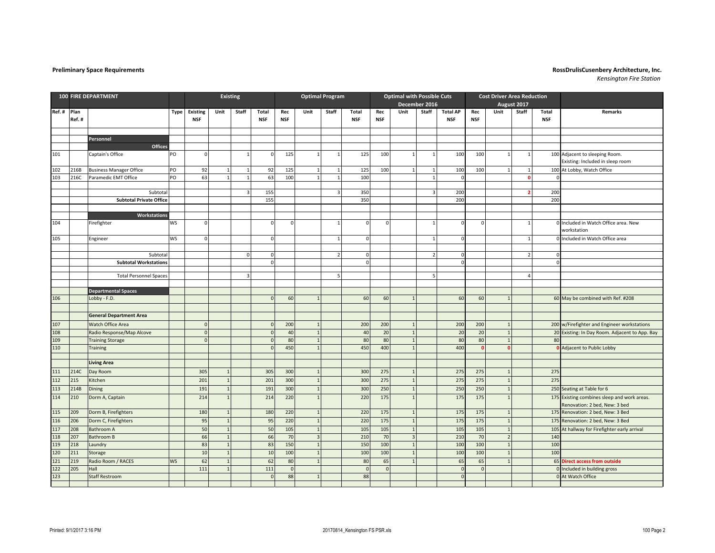| <b>100 FIRE DEPARTMENT</b> |               |                                |           |                               |                | <b>Existing</b>         |                     | <b>Optimal Program</b> |                         |                         |                     | <b>Optimal with Possible Cuts</b><br>December 2016 |                |              |                               |                   | <b>Cost Driver Area Reduction</b> |                |                     |                                                                              |
|----------------------------|---------------|--------------------------------|-----------|-------------------------------|----------------|-------------------------|---------------------|------------------------|-------------------------|-------------------------|---------------------|----------------------------------------------------|----------------|--------------|-------------------------------|-------------------|-----------------------------------|----------------|---------------------|------------------------------------------------------------------------------|
|                            |               |                                |           |                               |                |                         |                     |                        |                         |                         |                     |                                                    |                |              |                               |                   |                                   | August 2017    |                     |                                                                              |
| Ref.#                      | Plan<br>Ref.# |                                | Type      | <b>Existing</b><br><b>NSF</b> | Unit           | Staff                   | Total<br><b>NSF</b> | Rec<br><b>NSF</b>      | Unit                    | Staff                   | Total<br><b>NSF</b> | Rec<br><b>NSF</b>                                  | Unit           | Staff        | <b>Total AP</b><br><b>NSF</b> | Rec<br><b>NSF</b> | Unit                              | Staff          | Total<br><b>NSF</b> | <b>Remarks</b>                                                               |
|                            |               |                                |           |                               |                |                         |                     |                        |                         |                         |                     |                                                    |                |              |                               |                   |                                   |                |                     |                                                                              |
|                            |               | Personnel                      |           |                               |                |                         |                     |                        |                         |                         |                     |                                                    |                |              |                               |                   |                                   |                |                     |                                                                              |
|                            |               | Offices                        |           |                               |                |                         |                     |                        |                         |                         |                     |                                                    |                |              |                               |                   |                                   |                |                     |                                                                              |
| 101                        |               | Captain's Office               | PO        | $\mathbf 0$                   |                | $\overline{1}$          | $\mathbf 0$         | 125                    | $1\vert$                | $\overline{1}$          | 125                 | 100                                                | $\mathbf{1}$   | $\mathbf{1}$ | 100                           | 100               | $1\overline{ }$                   | $\mathbf{1}$   |                     | 100 Adjacent to sleeping Room.                                               |
|                            |               |                                |           |                               |                |                         |                     |                        |                         |                         |                     |                                                    |                |              |                               |                   |                                   |                |                     | Existing: Included in sleep room                                             |
| 102                        | 216B          | <b>Business Manager Office</b> | PO        | 92                            | $\mathbf{1}$   | $\mathbf{1}$            | 92                  | 125                    | 1                       | 1                       | 125                 | 100                                                | $\mathbf{1}$   | $\mathbf{1}$ | 100                           | 100               | $\mathbf{1}$                      | $\overline{1}$ |                     | 100 At Lobby, Watch Office                                                   |
| 103                        | 216C          | Paramedic EMT Office           | PO        | 63                            | $\mathbf{1}$   | $\mathbf{1}$            | 63                  | 100                    | $1\vert$                | $\overline{1}$          | 100                 |                                                    |                | $\mathbf{1}$ | $\Omega$                      |                   |                                   | $\mathbf{0}$   | $\Omega$            |                                                                              |
|                            |               |                                |           |                               |                |                         |                     |                        |                         |                         |                     |                                                    |                |              |                               |                   |                                   |                |                     |                                                                              |
|                            |               | Subtotal                       |           |                               |                | $\overline{\mathbf{3}}$ | 155                 |                        |                         | $\overline{\mathbf{3}}$ | 350                 |                                                    |                | $\mathbf{3}$ | 200                           |                   |                                   | $\overline{2}$ | 200                 |                                                                              |
|                            |               | <b>Subtotal Private Office</b> |           |                               |                |                         | 155                 |                        |                         |                         | 350                 |                                                    |                |              | 200                           |                   |                                   |                | 200                 |                                                                              |
|                            |               |                                |           |                               |                |                         |                     |                        |                         |                         |                     |                                                    |                |              |                               |                   |                                   |                |                     |                                                                              |
|                            |               | Workstations                   |           |                               |                |                         |                     |                        |                         | $\overline{1}$          |                     | $\Omega$                                           |                |              |                               | $\Omega$          |                                   |                |                     |                                                                              |
| 104                        |               | Firefighter                    | <b>WS</b> | $\mathbf 0$                   |                |                         | $\mathbf 0$         | $\mathbf 0$            |                         |                         |                     |                                                    |                |              |                               |                   |                                   | $\mathbf 1$    |                     | Included in Watch Office area. New<br>workstation                            |
| 105                        |               |                                | <b>WS</b> | $\mathbf 0$                   |                |                         | $\mathbf 0$         |                        |                         | $\overline{1}$          | C                   |                                                    |                | $\mathbf{1}$ | $\Omega$                      |                   |                                   | $\overline{1}$ |                     | Included in Watch Office area                                                |
|                            |               | Engineer                       |           |                               |                |                         |                     |                        |                         |                         |                     |                                                    |                |              |                               |                   |                                   |                |                     |                                                                              |
|                            |               | Subtota                        |           |                               |                | $\Omega$                | $\mathbf 0$         |                        |                         | $\overline{2}$          |                     |                                                    |                |              |                               |                   |                                   | $\overline{a}$ |                     |                                                                              |
|                            |               | <b>Subtotal Workstations</b>   |           |                               |                |                         | $\mathbf 0$         |                        |                         |                         |                     |                                                    |                |              | $\Omega$                      |                   |                                   |                | $\Omega$            |                                                                              |
|                            |               |                                |           |                               |                |                         |                     |                        |                         |                         |                     |                                                    |                |              |                               |                   |                                   |                |                     |                                                                              |
|                            |               | <b>Total Personnel Spaces</b>  |           |                               |                | $\overline{3}$          |                     |                        |                         | 5                       |                     |                                                    |                |              |                               |                   |                                   | 4              |                     |                                                                              |
|                            |               |                                |           |                               |                |                         |                     |                        |                         |                         |                     |                                                    |                |              |                               |                   |                                   |                |                     |                                                                              |
|                            |               | <b>Departmental Spaces</b>     |           |                               |                |                         |                     |                        |                         |                         |                     |                                                    |                |              |                               |                   |                                   |                |                     |                                                                              |
| 106                        |               | Lobby - F.D.                   |           |                               |                |                         | $\Omega$            | 60                     | $\overline{1}$          |                         | 60                  | 60                                                 | $\overline{1}$ |              | 60                            | 60                |                                   |                |                     | 60 May be combined with Ref. #208                                            |
|                            |               |                                |           |                               |                |                         |                     |                        |                         |                         |                     |                                                    |                |              |                               |                   |                                   |                |                     |                                                                              |
|                            |               | <b>General Department Area</b> |           |                               |                |                         |                     |                        |                         |                         |                     |                                                    |                |              |                               |                   |                                   |                |                     |                                                                              |
| 107                        |               | Watch Office Area              |           | $\mathbf 0$                   |                |                         | $\mathbf{0}$        | 200                    | $\mathbf 1$             |                         | 200                 | 200                                                | $\mathbf{1}$   |              | 200                           | 200               |                                   |                |                     | 200 w/Firefighter and Engineer workstations                                  |
| 108                        |               | Radio Response/Map Alcove      |           | $\mathbf{0}$                  |                |                         | $\Omega$            | 40                     | $\overline{1}$          |                         | 40                  | 20                                                 | $\overline{1}$ |              | 20                            | 20                | $\overline{1}$                    |                | 20                  | Existing: In Day Room. Adjacent to App. Bay                                  |
| 109                        |               | <b>Training Storage</b>        |           | $\Omega$                      |                |                         | $\Omega$            | 80                     | $\overline{1}$          |                         | 80                  | 80                                                 | $\overline{1}$ |              | 80                            | 80                | 1                                 |                | 80                  |                                                                              |
| 110                        |               | <b>Training</b>                |           |                               |                |                         | $\mathbf{0}$        | 450                    | $\overline{1}$          |                         | 450                 | 400                                                | $\overline{1}$ |              | 400                           | $\mathbf{0}$      | $\Omega$                          |                |                     | Adjacent to Public Lobby                                                     |
|                            |               |                                |           |                               |                |                         |                     |                        |                         |                         |                     |                                                    |                |              |                               |                   |                                   |                |                     |                                                                              |
|                            |               | <b>Living Area</b>             |           |                               |                |                         |                     |                        |                         |                         |                     |                                                    |                |              |                               |                   |                                   |                |                     |                                                                              |
| 111                        | 214C          | Day Room                       |           | 305                           | $\overline{1}$ |                         | 305                 | 300                    | 1                       |                         | 300                 | 275                                                | $\overline{1}$ |              | 275                           | 275               | $\mathbf{1}$                      |                | 275                 |                                                                              |
| 112                        | 215           | Kitchen                        |           | 201                           | $\overline{1}$ |                         | 201                 | 300                    | $\mathbf{1}$            |                         | 300                 | 275                                                | $\overline{1}$ |              | 275                           | 275               |                                   |                | 275                 |                                                                              |
| 113                        | 214B          | Dining                         |           | 191                           | $\overline{1}$ |                         | 191                 | 300                    | $\mathbf{1}$            |                         | 300                 | 250                                                | $\mathbf{1}$   |              | 250                           | 250               | $\overline{1}$                    |                |                     | 250 Seating at Table for 6                                                   |
| 114                        | 210           | Dorm A, Captain                |           | 214                           | $\mathbf 1$    |                         | 214                 | 220                    | $1\,$                   |                         | 220                 | 175                                                | $\overline{1}$ |              | 175                           | 175               | $\overline{1}$                    |                |                     | 175 Existing combines sleep and work areas.<br>Renovation: 2 bed, New: 3 bed |
| 115                        | 209           | Dorm B, Firefighters           |           | 180                           | $\mathbf{1}$   |                         | 180                 | 220                    | $\mathbf{1}$            |                         | 220                 | 175                                                | $\mathbf{1}$   |              | 175                           | 175               | $\mathbf{1}$                      |                |                     | 175 Renovation: 2 bed, New: 3 Bed                                            |
| 116                        | 206           | Dorm C, Firefighters           |           | 95                            | $\,$ 1         |                         | 95                  | 220                    | $1\,$                   |                         | 220                 | 175                                                | $\mathbf 1$    |              | 175                           | 175               | $\overline{1}$                    |                | 175                 | Renovation: 2 bed, New: 3 Bed                                                |
| 117                        | 208           | <b>Bathroom A</b>              |           | 50                            | 1              |                         | 50                  | 105                    | $\overline{1}$          |                         | 105                 | 105                                                | 1              |              | 105                           | 105               | $\mathbf{1}$                      |                | 105                 | At hallway for Firefighter early arrival                                     |
| 118                        | 207           | <b>Bathroom B</b>              |           | 66                            | $\overline{1}$ |                         | 66                  | 70                     | $\overline{\mathbf{3}}$ |                         | 210                 | 70                                                 | $\overline{3}$ |              | 210                           | 70                | $\overline{2}$                    |                | 140                 |                                                                              |
| 119                        | 218           | Laundry                        |           | 83                            | $\mathbf{1}$   |                         | 83                  | 150                    | $\mathbf{1}$            |                         | 150                 | 100                                                | $\mathbf{1}$   |              | 100                           | 100               | $\overline{1}$                    |                | 100                 |                                                                              |
| 120                        | 211           | Storage                        |           | 10                            | $\overline{1}$ |                         | 10                  | 100                    | $\mathbf{1}$            |                         | 100                 | 100                                                | $\overline{1}$ |              | 100                           | 100               | $\overline{1}$                    |                | 100                 |                                                                              |
| 121                        | 219           | Radio Room / RACES             | <b>WS</b> | 62                            | $\mathbf{1}$   |                         | 62                  | 80                     | $\overline{1}$          |                         | 80                  | 65                                                 |                |              | 65                            | 65                | $\mathbf{1}$                      |                | 65                  | <b>Direct access from outside</b>                                            |
| 122                        | 205           | Hall                           |           | 111                           | $\overline{1}$ |                         | 111                 | $\mathbf 0$            |                         |                         | $\mathsf{C}$        | $\mathbf 0$                                        |                |              | $\Omega$                      | $\mathbf{0}$      |                                   |                |                     | Included in building gross                                                   |
| 123                        |               | <b>Staff Restroom</b>          |           |                               |                |                         | $\Omega$            | 88                     | $\overline{1}$          |                         | 88                  |                                                    |                |              | $\Omega$                      |                   |                                   |                |                     | 0 At Watch Office                                                            |
|                            |               |                                |           |                               |                |                         |                     |                        |                         |                         |                     |                                                    |                |              |                               |                   |                                   |                |                     |                                                                              |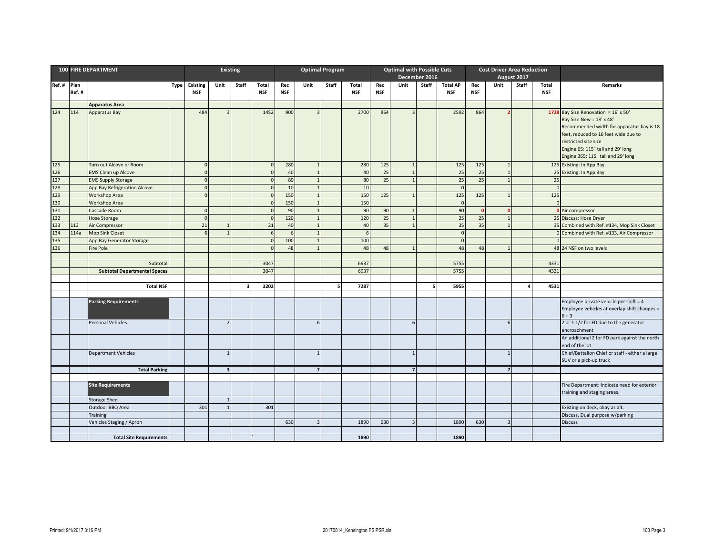|             |             | <b>100 FIRE DEPARTMENT</b>               |             |                      | <b>Existing</b>         |                         |            | <b>Optimal Program</b> |                             |       |            | <b>Optimal with Possible Cuts</b> |                                  |       |                  |            | <b>Cost Driver Area Reduction</b> |             |            |                                                                                        |
|-------------|-------------|------------------------------------------|-------------|----------------------|-------------------------|-------------------------|------------|------------------------|-----------------------------|-------|------------|-----------------------------------|----------------------------------|-------|------------------|------------|-----------------------------------|-------------|------------|----------------------------------------------------------------------------------------|
|             |             |                                          |             |                      |                         |                         |            |                        |                             |       |            |                                   | December 2016                    |       |                  |            |                                   | August 2017 |            |                                                                                        |
| Ref. # Plan |             |                                          | <b>Type</b> | <b>Existing</b>      | Unit                    | Staff                   | Total      | Rec                    | Unit                        | Staff | Total      | Rec                               | Unit                             | Staff | <b>Total AP</b>  | Rec        | Unit                              | Staff       | Total      | Remarks                                                                                |
|             | Ref.#       |                                          |             | <b>NSF</b>           |                         |                         | <b>NSF</b> | <b>NSF</b>             |                             |       | <b>NSF</b> | <b>NSF</b>                        |                                  |       | <b>NSF</b>       | <b>NSF</b> |                                   |             | <b>NSF</b> |                                                                                        |
|             |             | <b>Apparatus Area</b>                    |             |                      |                         |                         |            |                        |                             |       |            |                                   |                                  |       |                  |            |                                   |             |            |                                                                                        |
| 124         | 114         | Apparatus Bay                            |             | 484                  | $\overline{3}$          |                         | 1452       | 900                    | $\overline{3}$              |       | 2700       | 864                               | $\overline{3}$                   |       | 2592             | 864        |                                   |             |            | 1728 Bay Size Renovation = $16' \times 50'$                                            |
|             |             |                                          |             |                      |                         |                         |            |                        |                             |       |            |                                   |                                  |       |                  |            |                                   |             |            | Bay Size New = 18' x 48'                                                               |
|             |             |                                          |             |                      |                         |                         |            |                        |                             |       |            |                                   |                                  |       |                  |            |                                   |             |            | Recommended width for apparatus bay is 18                                              |
|             |             |                                          |             |                      |                         |                         |            |                        |                             |       |            |                                   |                                  |       |                  |            |                                   |             |            | feet, reduced to 16 feet wide due to                                                   |
|             |             |                                          |             |                      |                         |                         |            |                        |                             |       |            |                                   |                                  |       |                  |            |                                   |             |            | restricted site size                                                                   |
|             |             |                                          |             |                      |                         |                         |            |                        |                             |       |            |                                   |                                  |       |                  |            |                                   |             |            | Engine 65: 115" tall and 29' long                                                      |
|             |             |                                          |             |                      |                         |                         |            |                        |                             |       |            |                                   |                                  |       |                  |            |                                   |             |            | Engine 365: 115" tall and 29' long                                                     |
| 125         |             | Turn out Alcove or Room                  |             | $\overline{0}$       |                         |                         |            | 280                    | $\mathbf{1}$                |       | 280        | 125                               | $\overline{1}$                   |       | 125              | 125        | 1                                 |             |            | 125 Existing: In App Bay                                                               |
| 126         |             | <b>EMS Clean up Alcove</b>               |             | $\Omega$             |                         |                         |            | 40                     | $\mathbf 1$                 |       | 40         | 25                                | $\overline{1}$                   |       | 25               | 25         | $\overline{1}$                    |             | 25         | Existing: In App Bay                                                                   |
| 127         |             | <b>EMS Supply Storage</b>                |             | $\Omega$             |                         |                         |            | 80                     | $\overline{1}$              |       | 80         | 25                                | $\overline{1}$                   |       | 25               | 25         | $\overline{1}$                    |             | 25         |                                                                                        |
| 128         |             | App Bay Refrigeration Alcove             |             | $\Omega$             |                         |                         | $\sqrt{ }$ | 10 <sup>1</sup>        | $\mathbf{1}$                |       | 10         |                                   |                                  |       |                  |            |                                   |             | $\Omega$   |                                                                                        |
| 129         |             | Workshop Area                            |             | $\Omega$             |                         |                         |            | 150                    | $\overline{1}$              |       | 150        | 125                               | $\overline{1}$                   |       | 125              | 125        | $\overline{1}$                    |             | 125        |                                                                                        |
| 130         |             | <b>Workshop Area</b>                     |             |                      |                         |                         |            | 150                    | $\mathbf 1$<br>$\mathbf{1}$ |       | 150        |                                   |                                  |       | $\sqrt{ }$<br>90 | $\Omega$   | $\sqrt{2}$                        |             | $\Omega$   |                                                                                        |
| 131<br>132  |             | Cascade Room                             |             | $\Omega$<br>$\Omega$ |                         |                         |            | 90<br>120              | $\overline{1}$              |       | 90<br>120  | 90<br>25                          | $\overline{1}$<br>$\overline{1}$ |       | 25               | 25         | $\mathbf{1}$                      |             |            | <b>0</b> Air compressor                                                                |
| 133         |             | <b>Hose Storage</b>                      |             | 21                   | $\overline{1}$          |                         | 21         | 40                     | $\mathbf 1$                 |       | 40         | 35                                | $\overline{1}$                   |       | 35               | 35         | $\overline{1}$                    |             |            | 25 Discuss: Hose Dryer                                                                 |
| 134         | 113<br>114a | Air Compressor<br><b>Mop Sink Closet</b> |             | 6                    | $\overline{1}$          |                         | 6          | $6 \mid$               | $\overline{1}$              |       | 6          |                                   |                                  |       |                  |            |                                   |             |            | 35 Combined with Ref. #134, Mop Sink Closet<br>Combined with Ref. #133, Air Compressor |
| 135         |             | App Bay Generator Storage                |             |                      |                         |                         |            | 100                    | $\overline{1}$              |       | 100        |                                   |                                  |       |                  |            |                                   |             |            |                                                                                        |
| 136         |             | <b>Fire Pole</b>                         |             |                      |                         |                         | $\sqrt{ }$ | 48                     | $\overline{1}$              |       | 48         | 48                                | $\overline{1}$                   |       | 48               | 48         | $\overline{1}$                    |             |            | 48 24 NSF on two levels                                                                |
|             |             |                                          |             |                      |                         |                         |            |                        |                             |       |            |                                   |                                  |       |                  |            |                                   |             |            |                                                                                        |
|             |             | Subtotal                                 |             |                      |                         |                         | 3047       |                        |                             |       | 6937       |                                   |                                  |       | 5755             |            |                                   |             | 4331       |                                                                                        |
|             |             | <b>Subtotal Departmental Spaces</b>      |             |                      |                         |                         | 3047       |                        |                             |       | 6937       |                                   |                                  |       | 5755             |            |                                   |             | 4331       |                                                                                        |
|             |             |                                          |             |                      |                         |                         |            |                        |                             |       |            |                                   |                                  |       |                  |            |                                   |             |            |                                                                                        |
|             |             | <b>Total NSF</b>                         |             |                      |                         | $\overline{\mathbf{3}}$ | 3202       |                        |                             | 5     | 7287       |                                   |                                  | 5     | 5955             |            |                                   | 4           | 4531       |                                                                                        |
|             |             |                                          |             |                      |                         |                         |            |                        |                             |       |            |                                   |                                  |       |                  |            |                                   |             |            |                                                                                        |
|             |             | <b>Parking Requirements</b>              |             |                      |                         |                         |            |                        |                             |       |            |                                   |                                  |       |                  |            |                                   |             |            | Employee private vehicle per shift = 4                                                 |
|             |             |                                          |             |                      |                         |                         |            |                        |                             |       |            |                                   |                                  |       |                  |            |                                   |             |            | Employee vehicles at overlap shift changes =                                           |
|             |             |                                          |             |                      |                         |                         |            |                        |                             |       |            |                                   |                                  |       |                  |            |                                   |             |            | $6 + 3$                                                                                |
|             |             | <b>Personal Vehicles</b>                 |             |                      | $\overline{2}$          |                         |            |                        | 6                           |       |            |                                   | 6                                |       |                  |            | $6 \mid$                          |             |            | 2 or 1 1/2 for FD due to the generator<br>encroachment                                 |
|             |             |                                          |             |                      |                         |                         |            |                        |                             |       |            |                                   |                                  |       |                  |            |                                   |             |            | An additional 2 for FD park against the north                                          |
|             |             |                                          |             |                      |                         |                         |            |                        |                             |       |            |                                   |                                  |       |                  |            |                                   |             |            | end of the lot                                                                         |
|             |             | <b>Department Vehicles</b>               |             |                      | $\overline{1}$          |                         |            |                        | $\mathbf{1}$                |       |            |                                   | $\overline{1}$                   |       |                  |            |                                   |             |            | Chief/Battalion Chief or staff - either a large                                        |
|             |             |                                          |             |                      |                         |                         |            |                        |                             |       |            |                                   |                                  |       |                  |            |                                   |             |            | SUV or a pick-up truck                                                                 |
|             |             | <b>Total Parking</b>                     |             |                      | $\overline{\mathbf{3}}$ |                         |            |                        | $\overline{7}$              |       |            |                                   | $\overline{7}$                   |       |                  |            | 7 <sup>1</sup>                    |             |            |                                                                                        |
|             |             |                                          |             |                      |                         |                         |            |                        |                             |       |            |                                   |                                  |       |                  |            |                                   |             |            |                                                                                        |
|             |             | <b>Site Requirements</b>                 |             |                      |                         |                         |            |                        |                             |       |            |                                   |                                  |       |                  |            |                                   |             |            | Fire Department: Indicate need for exterior<br>training and staging areas.             |
|             |             | <b>Storage Shed</b>                      |             |                      | $\mathbf{1}$            |                         |            |                        |                             |       |            |                                   |                                  |       |                  |            |                                   |             |            |                                                                                        |
|             |             | Outdoor BBQ Area                         |             | 301                  | $\mathbf{1}$            |                         | 301        |                        |                             |       |            |                                   |                                  |       |                  |            |                                   |             |            | Existing on deck, okay as alt.                                                         |
|             |             | Training                                 |             |                      |                         |                         |            |                        |                             |       |            |                                   |                                  |       |                  |            |                                   |             |            | Discuss. Dual purpose w/parking                                                        |
|             |             | Vehicles Staging / Apron                 |             |                      |                         |                         |            | 630                    | $\overline{3}$              |       | 1890       | 630                               | $\overline{3}$                   |       | 1890             | 630        | $\overline{3}$                    |             |            | <b>Discuss</b>                                                                         |
|             |             |                                          |             |                      |                         |                         |            |                        |                             |       |            |                                   |                                  |       |                  |            |                                   |             |            |                                                                                        |
|             |             | <b>Total Site Requirements</b>           |             |                      |                         |                         |            |                        |                             |       | 1890       |                                   |                                  |       | 1890             |            |                                   |             |            |                                                                                        |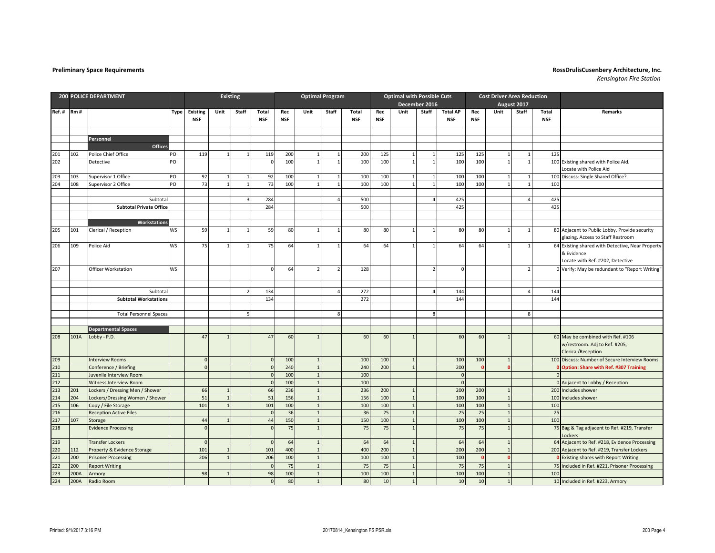|     | <b>200 POLICE DEPARTMENT</b> |                                 |           |                               |                | <b>Existing</b>         |                     | <b>Optimal Program</b> |                |                |                     | <b>Optimal with Possible Cuts</b> |                |                |                               |                   | <b>Cost Driver Area Reduction</b> |                |                     |                                                                                          |
|-----|------------------------------|---------------------------------|-----------|-------------------------------|----------------|-------------------------|---------------------|------------------------|----------------|----------------|---------------------|-----------------------------------|----------------|----------------|-------------------------------|-------------------|-----------------------------------|----------------|---------------------|------------------------------------------------------------------------------------------|
|     |                              |                                 |           |                               |                |                         |                     |                        |                |                |                     |                                   |                | December 2016  |                               |                   |                                   | August 2017    |                     |                                                                                          |
|     | Ref. # Rm #                  |                                 | Type      | <b>Existing</b><br><b>NSF</b> | Unit           | Staff                   | Total<br><b>NSF</b> | Rec<br><b>NSF</b>      | Unit           | Staff          | Total<br><b>NSF</b> | Rec<br><b>NSF</b>                 | Unit           | Staff          | <b>Total AP</b><br><b>NSF</b> | Rec<br><b>NSF</b> | Unit                              | Staff          | Total<br><b>NSF</b> | Remarks                                                                                  |
|     |                              |                                 |           |                               |                |                         |                     |                        |                |                |                     |                                   |                |                |                               |                   |                                   |                |                     |                                                                                          |
|     |                              |                                 |           |                               |                |                         |                     |                        |                |                |                     |                                   |                |                |                               |                   |                                   |                |                     |                                                                                          |
|     |                              | Personnel                       |           |                               |                |                         |                     |                        |                |                |                     |                                   |                |                |                               |                   |                                   |                |                     |                                                                                          |
|     |                              | Offices                         |           |                               |                |                         |                     |                        |                |                |                     |                                   |                |                |                               |                   |                                   |                |                     |                                                                                          |
| 201 | 102                          | Police Chief Office             | PO        | 119                           | $\mathbf{1}$   | 1                       | 119                 | 200                    | $1\vert$       | $\overline{1}$ | 200                 | 125                               | $\mathbf{1}$   | $\mathbf{1}$   | 125                           | 125               | $1\overline{ }$                   | $\overline{1}$ | 125                 |                                                                                          |
| 202 |                              | Detective                       | PO        |                               |                |                         | $\mathbf 0$         | 100                    | $1\vert$       | $\overline{1}$ | 100                 | 100                               | $\overline{1}$ |                | 100                           | 100               | $\mathbf{1}$                      | $\mathbf{1}$   |                     | 100 Existing shared with Police Aid.<br>Locate with Police Aid                           |
| 203 | 103                          | Supervisor 1 Office             | PO        | 92                            | $\mathbf{1}$   | $\mathbf{1}$            | 92                  | 100                    | $\mathbf{1}$   | $\overline{1}$ | 100                 | 100                               | $\overline{1}$ | $\mathbf{1}$   | 100                           | 100               | $\mathbf{1}$                      | $\overline{1}$ |                     | 100 Discuss: Single Shared Office?                                                       |
| 204 | 108                          | Supervisor 2 Office             | PO        | 73                            | $\mathbf{1}$   | $\mathbf{1}$            | 73                  | 100                    | 1              | $\overline{1}$ | 100                 | 100                               | $\mathbf{1}$   | $\mathbf{1}$   | 100                           | 100               | $\mathbf{1}$                      | $\mathbf{1}$   | 100                 |                                                                                          |
|     |                              |                                 |           |                               |                |                         |                     |                        |                |                |                     |                                   |                |                |                               |                   |                                   |                |                     |                                                                                          |
|     |                              | Subtotal                        |           |                               |                | $\overline{\mathbf{3}}$ | 284                 |                        |                | $\Delta$       | 500                 |                                   |                |                | 425                           |                   |                                   | $\overline{a}$ | 425                 |                                                                                          |
|     |                              | <b>Subtotal Private Office</b>  |           |                               |                |                         | 284                 |                        |                |                | 500                 |                                   |                |                | 425                           |                   |                                   |                | 425                 |                                                                                          |
|     |                              |                                 |           |                               |                |                         |                     |                        |                |                |                     |                                   |                |                |                               |                   |                                   |                |                     |                                                                                          |
|     |                              | Workstations                    |           |                               |                |                         |                     |                        |                |                |                     |                                   |                |                |                               |                   |                                   |                |                     |                                                                                          |
| 205 | 101                          | Clerical / Reception            | <b>WS</b> | 59                            | $\mathbf{1}$   | $\mathbf{1}$            | 59                  | 80                     | $1\vert$       | $\overline{1}$ | 80                  | 80                                | $\overline{1}$ |                | 80                            | 80                | $\mathbf{1}$                      | $\mathbf{1}$   |                     | 80 Adjacent to Public Lobby. Provide security<br>glazing. Access to Staff Restroom       |
| 206 | 109                          | Police Aid                      | <b>WS</b> | 75                            | $\mathbf{1}$   | $\mathbf{1}$            | 75                  | 64                     | $\mathbf{1}$   |                | 64                  | 64                                |                |                | 64                            | 64                | $\mathbf{1}$                      |                |                     | 64 Existing shared with Detective, Near Property<br>& Evidence                           |
|     |                              |                                 |           |                               |                |                         |                     |                        |                |                |                     |                                   |                |                |                               |                   |                                   |                |                     | Locate with Ref. #202, Detective                                                         |
| 207 |                              | Officer Workstation             | <b>WS</b> |                               |                |                         | $\Omega$            | 64                     | 2 <sup>1</sup> | $\overline{2}$ | 128                 |                                   |                | $\overline{2}$ | $\Omega$                      |                   |                                   | $\overline{2}$ |                     | 0 Verify: May be redundant to "Report Writing"                                           |
|     |                              |                                 |           |                               |                |                         |                     |                        |                |                |                     |                                   |                |                |                               |                   |                                   |                |                     |                                                                                          |
|     |                              | Subtotal                        |           |                               |                | $\overline{2}$          | 134                 |                        |                | $\Lambda$      | 272                 |                                   |                |                | 144                           |                   |                                   | 4              | 144                 |                                                                                          |
|     |                              | <b>Subtotal Workstations</b>    |           |                               |                |                         | 134                 |                        |                |                | 272                 |                                   |                |                | 144                           |                   |                                   |                | 144                 |                                                                                          |
|     |                              |                                 |           |                               |                |                         |                     |                        |                |                |                     |                                   |                |                |                               |                   |                                   |                |                     |                                                                                          |
|     |                              | <b>Total Personnel Spaces</b>   |           |                               |                | 5                       |                     |                        |                | $\mathbf{8}$   |                     |                                   |                | 8              |                               |                   |                                   | 8              |                     |                                                                                          |
|     |                              |                                 |           |                               |                |                         |                     |                        |                |                |                     |                                   |                |                |                               |                   |                                   |                |                     |                                                                                          |
|     |                              | <b>Departmental Spaces</b>      |           |                               |                |                         |                     |                        |                |                |                     |                                   |                |                |                               |                   |                                   |                |                     |                                                                                          |
| 208 | 101A                         | Lobby - P.D.                    |           | 47                            | $\mathbf{1}$   |                         | 47                  | 60                     | $\mathbf{1}$   |                | 60                  | 60                                |                |                | 60                            | 60                | $\mathbf{1}$                      |                |                     | 60 May be combined with Ref. #106<br>w/restroom. Adj to Ref. #205,<br>Clerical/Reception |
| 209 |                              | <b>Interview Rooms</b>          |           | $\mathbf{0}$                  |                |                         | $\Omega$            | 100                    | 1              |                | 100                 | 100                               | $\overline{1}$ |                | 100                           | 100               | $\overline{1}$                    |                |                     | 100 Discuss: Number of Secure Interview Rooms                                            |
| 210 |                              | Conference / Briefing           |           | $\mathbf{0}$                  |                |                         | $\Omega$            | 240                    | $\overline{1}$ |                | 240                 | 200                               |                |                | 200                           | $\Omega$          | $\Omega$                          |                |                     | <b>Option: Share with Ref. #307 Training</b>                                             |
| 211 |                              | Juvenile Interview Room         |           |                               |                |                         | $\Omega$            | 100                    | $\mathbf{1}$   |                | 100                 |                                   |                |                | $\mathbf{0}$                  |                   |                                   |                |                     |                                                                                          |
| 212 |                              | Witness Interview Room          |           |                               |                |                         | $\Omega$            | 100                    | $\mathbf 1$    |                | 100                 |                                   |                |                | $\overline{0}$                |                   |                                   |                |                     | 0 Adjacent to Lobby / Reception                                                          |
| 213 | 201                          | Lockers / Dressing Men / Shower |           | 66                            | $\mathbf{1}$   |                         | 66                  | 236                    | $\mathbf{1}$   |                | 236                 | 200                               | $\mathbf{1}$   |                | 200                           | 200               | $\mathbf{1}$                      |                | 200                 | Includes shower                                                                          |
| 214 | 204                          | Lockers/Dressing Women / Shower |           | 51                            | $\overline{1}$ |                         | 51                  | 156                    | $\mathbf{1}$   |                | 156                 | 100                               | $\mathbf{1}$   |                | 100                           | 100               | $\mathbf{1}$                      |                | 100                 | ncludes shower                                                                           |
| 215 | 106                          | Copy / File Storage             |           | 101                           | $\overline{1}$ |                         | 101                 | 100                    | $\overline{1}$ |                | 100                 | 100                               | $\overline{1}$ |                | 100                           | 100               | $\overline{1}$                    |                | 100                 |                                                                                          |
| 216 |                              | <b>Reception Active Files</b>   |           |                               |                |                         | $\Omega$            | 36                     | $\overline{1}$ |                | 36                  | 25                                | $\overline{1}$ |                | 25                            | 25                | $\overline{1}$                    |                | 25                  |                                                                                          |
| 217 | 107                          | Storage                         |           | 44                            | $\overline{1}$ |                         | 44                  | 150                    | $\mathbf{1}$   |                | 150                 | 100                               | $\overline{1}$ |                | 100                           | 100               | $\mathbf{1}$                      |                | 100                 |                                                                                          |
| 218 |                              | <b>Evidence Processing</b>      |           | $\mathbf 0$                   |                |                         | $\Omega$            | 75                     | $1\,$          |                | 75                  | 75                                | $\overline{1}$ |                | 75                            | 75                | $\mathbf{1}$                      |                |                     | 75 Bag & Tag adjacent to Ref. #219, Transfer<br>ockers                                   |
| 219 |                              | <b>Transfer Lockers</b>         |           | $\Omega$                      |                |                         | $\Omega$            | 64                     | $\overline{1}$ |                | 64                  | 64                                | $\overline{1}$ |                | 64                            | 64                |                                   |                |                     | 64 Adjacent to Ref. #218, Evidence Processing                                            |
| 220 | 112                          | Property & Evidence Storage     |           | 101                           | $\overline{1}$ |                         | 101                 | 400                    | $\mathbf{1}$   |                | 400                 | 200                               | $\overline{1}$ |                | 200                           | 200               | $\overline{1}$                    |                |                     | 200 Adjacent to Ref. #219, Transfer Lockers                                              |
| 221 | 200                          | <b>Prisoner Processing</b>      |           | 206                           | $\overline{1}$ |                         | 206                 | 100                    | $\mathbf 1$    |                | 100                 | 100                               | $\overline{1}$ |                | 100                           | $\mathbf{0}$      | $\mathbf{0}$                      |                |                     | Existing shares with Report Writing                                                      |
| 222 | 200                          | <b>Report Writing</b>           |           |                               |                |                         | $\Omega$            | 75                     | $\overline{1}$ |                | 75                  | 75                                | $\overline{1}$ |                | 75                            | 75                | $\mathbf{1}$                      |                |                     | 75 Included in Ref. #221, Prisoner Processing                                            |
| 223 | 200A                         | Armory                          |           | 98                            | $\overline{1}$ |                         | 98                  | 100                    | $\mathbf{1}$   |                | 100                 | 100                               | $\overline{1}$ |                | 100                           | 100               | $\mathbf{1}$                      |                | 100                 |                                                                                          |
| 224 | 200A                         | Radio Room                      |           |                               |                |                         |                     | 80                     | $\mathbf{1}$   |                | 80                  | 10                                | $\mathbf{1}$   |                | 10                            | 10                | $\overline{1}$                    |                |                     | 10 Included in Ref. #223, Armory                                                         |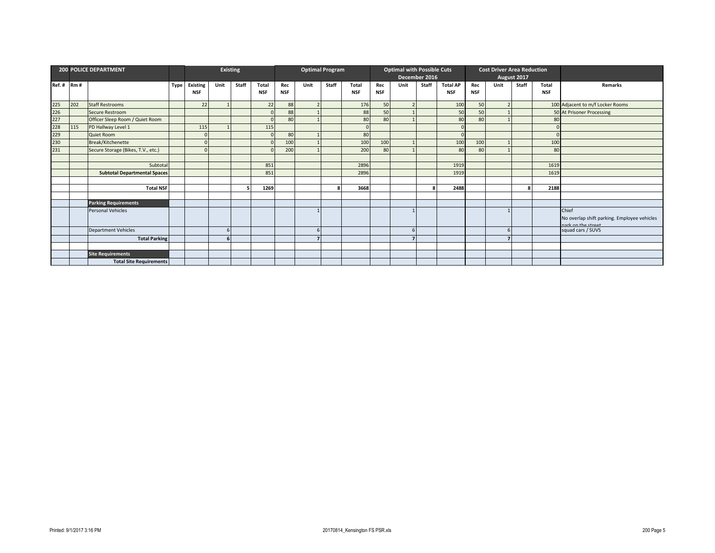|       |     | <b>200 POLICE DEPARTMENT</b>        |             | Existing        |      |       |            |            | <b>Optimal Program</b> |       |                 |     | <b>Optimal with Possible Cuts</b> |       |                 |            | <b>Cost Driver Area Reduction</b> |             |            |                                                                    |
|-------|-----|-------------------------------------|-------------|-----------------|------|-------|------------|------------|------------------------|-------|-----------------|-----|-----------------------------------|-------|-----------------|------------|-----------------------------------|-------------|------------|--------------------------------------------------------------------|
|       |     |                                     |             |                 |      |       |            |            |                        |       |                 |     | December 2016                     |       |                 |            |                                   | August 2017 |            |                                                                    |
| Ref.# | Rm# |                                     | <b>Type</b> | <b>Existing</b> | Unit | Staff | Total      | Rec        | Unit                   | Staff | Total           | Rec | Unit                              | Staff | <b>Total AP</b> | Rec        | Unit                              | Staff       | Total      | Remarks                                                            |
|       |     |                                     |             | NSF             |      |       | <b>NSF</b> | <b>NSF</b> |                        |       | <b>NSF</b>      | NSF |                                   |       | <b>NSF</b>      | <b>NSF</b> |                                   |             | <b>NSF</b> |                                                                    |
| 225   | 202 | <b>Staff Restrooms</b>              |             | 22              |      |       | 22         | 88         |                        |       | 176             | 50  | $\overline{2}$                    |       | 10 <sup>c</sup> | 50         |                                   |             |            | 100 Adjacent to m/f Locker Rooms                                   |
| 226   |     | <b>Secure Restroom</b>              |             |                 |      |       |            | 88         |                        |       | 88              | 50  |                                   |       | 50              | 50         |                                   |             |            | 50 At Prisoner Processing                                          |
| 227   |     | Officer Sleep Room / Quiet Room     |             |                 |      |       |            | 80         |                        |       | 80              | 80  |                                   |       | 80              | 80         |                                   |             | 80         |                                                                    |
| 228   | 115 | PD Hallway Level 1                  |             | 115             |      |       | 115        |            |                        |       |                 |     |                                   |       |                 |            |                                   |             |            |                                                                    |
| 229   |     | Quiet Room                          |             |                 |      |       |            | 80         |                        |       | 80              |     |                                   |       |                 |            |                                   |             |            |                                                                    |
| 230   |     | Break/Kitchenette                   |             |                 |      |       |            | 100        |                        |       | 10 <sup>c</sup> | 100 |                                   |       | 100             | 100        |                                   |             | 100        |                                                                    |
| 231   |     | Secure Storage (Bikes, T.V., etc.)  |             |                 |      |       |            | 200        |                        |       | 200             | 80  |                                   |       | 80              | 80         |                                   |             | 80         |                                                                    |
|       |     |                                     |             |                 |      |       |            |            |                        |       |                 |     |                                   |       |                 |            |                                   |             |            |                                                                    |
|       |     | Subtota                             |             |                 |      |       | 851        |            |                        |       | 2896            |     |                                   |       | 1919            |            |                                   |             | 1619       |                                                                    |
|       |     | <b>Subtotal Departmental Spaces</b> |             |                 |      |       | 851        |            |                        |       | 2896            |     |                                   |       | 1919            |            |                                   |             | 1619       |                                                                    |
|       |     |                                     |             |                 |      |       |            |            |                        |       |                 |     |                                   |       |                 |            |                                   |             |            |                                                                    |
|       |     | <b>Total NSF</b>                    |             |                 |      |       | 1269       |            |                        | Я     | 3668            |     |                                   |       | 2488            |            |                                   | 8           | 2188       |                                                                    |
|       |     |                                     |             |                 |      |       |            |            |                        |       |                 |     |                                   |       |                 |            |                                   |             |            |                                                                    |
|       |     | <b>Parking Requirements</b>         |             |                 |      |       |            |            |                        |       |                 |     |                                   |       |                 |            |                                   |             |            |                                                                    |
|       |     | Personal Vehicles                   |             |                 |      |       |            |            |                        |       |                 |     |                                   |       |                 |            |                                   |             |            | Chief                                                              |
|       |     |                                     |             |                 |      |       |            |            |                        |       |                 |     |                                   |       |                 |            |                                   |             |            | No overlap shift parking. Employee vehicles<br>nark on the street. |
|       |     | <b>Department Vehicles</b>          |             |                 | 6    |       |            |            | 6                      |       |                 |     | 6                                 |       |                 |            |                                   |             |            | squad cars / SUVS                                                  |
|       |     | <b>Total Parking</b>                |             |                 |      |       |            |            |                        |       |                 |     | 7                                 |       |                 |            |                                   |             |            |                                                                    |
|       |     |                                     |             |                 |      |       |            |            |                        |       |                 |     |                                   |       |                 |            |                                   |             |            |                                                                    |
|       |     | Site Requirements                   |             |                 |      |       |            |            |                        |       |                 |     |                                   |       |                 |            |                                   |             |            |                                                                    |
|       |     | <b>Total Site Requirements</b>      |             |                 |      |       |            |            |                        |       |                 |     |                                   |       |                 |            |                                   |             |            |                                                                    |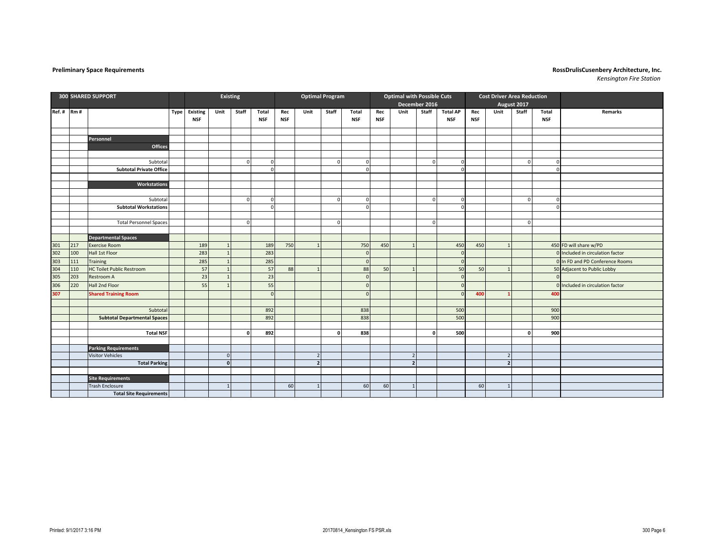|     |           | <b>300 SHARED SUPPORT</b>           |                      |                | <b>Existing</b> |             | <b>Optimal Program</b> |                |             |               | <b>Optimal with Possible Cuts</b> |                |               |                 |            | <b>Cost Driver Area Reduction</b> |             |             |                                  |
|-----|-----------|-------------------------------------|----------------------|----------------|-----------------|-------------|------------------------|----------------|-------------|---------------|-----------------------------------|----------------|---------------|-----------------|------------|-----------------------------------|-------------|-------------|----------------------------------|
|     |           |                                     |                      |                |                 |             |                        |                |             |               |                                   |                | December 2016 |                 |            |                                   | August 2017 |             |                                  |
|     | Ref.# Rm# |                                     | <b>Type Existing</b> | Unit           | Staff           | Total       | Rec                    | Unit           | Staff       | Total         | Rec                               | Unit           | Staff         | <b>Total AP</b> | Rec        | Unit                              | Staff       | Total       | <b>Remarks</b>                   |
|     |           |                                     | <b>NSF</b>           |                |                 | <b>NSF</b>  | <b>NSF</b>             |                |             | <b>NSF</b>    | <b>NSF</b>                        |                |               | <b>NSF</b>      | <b>NSF</b> |                                   |             | <b>NSF</b>  |                                  |
|     |           |                                     |                      |                |                 |             |                        |                |             |               |                                   |                |               |                 |            |                                   |             |             |                                  |
|     |           | Personnel                           |                      |                |                 |             |                        |                |             |               |                                   |                |               |                 |            |                                   |             |             |                                  |
|     |           | Offices                             |                      |                |                 |             |                        |                |             |               |                                   |                |               |                 |            |                                   |             |             |                                  |
|     |           |                                     |                      |                |                 |             |                        |                |             |               |                                   |                |               |                 |            |                                   |             |             |                                  |
|     |           | Subtotal                            |                      |                | $\Omega$        | $\mathbf 0$ |                        |                | $\mathbf 0$ | $\sqrt{ }$    |                                   |                | $\Omega$      |                 |            |                                   | $\mathbf 0$ | $\mathbf 0$ |                                  |
|     |           | <b>Subtotal Private Office</b>      |                      |                |                 | $\Omega$    |                        |                |             |               |                                   |                |               |                 |            |                                   |             | $\Omega$    |                                  |
|     |           |                                     |                      |                |                 |             |                        |                |             |               |                                   |                |               |                 |            |                                   |             |             |                                  |
|     |           | Workstations                        |                      |                |                 |             |                        |                |             |               |                                   |                |               |                 |            |                                   |             |             |                                  |
|     |           |                                     |                      |                |                 |             |                        |                |             |               |                                   |                |               |                 |            |                                   |             |             |                                  |
|     |           | Subtotal                            |                      |                | $\mathbf{0}$    | $\mathbf 0$ |                        |                | $\mathbf 0$ | <sup>c</sup>  |                                   |                | $\Omega$      |                 |            |                                   | $\mathbf 0$ | $\Omega$    |                                  |
|     |           | <b>Subtotal Workstations</b>        |                      |                |                 | $\Omega$    |                        |                |             | $\Omega$      |                                   |                |               |                 |            |                                   |             | $\Omega$    |                                  |
|     |           |                                     |                      |                |                 |             |                        |                |             |               |                                   |                |               |                 |            |                                   |             |             |                                  |
|     |           | <b>Total Personnel Spaces</b>       |                      |                | $\overline{0}$  |             |                        |                | $\Omega$    |               |                                   |                | $\Omega$      |                 |            |                                   | $\Omega$    |             |                                  |
|     |           |                                     |                      |                |                 |             |                        |                |             |               |                                   |                |               |                 |            |                                   |             |             |                                  |
|     |           | <b>Departmental Spaces</b>          |                      |                |                 |             |                        |                |             |               |                                   |                |               |                 |            |                                   |             |             |                                  |
| 301 | 217       | <b>Exercise Room</b>                | 189                  | $\overline{1}$ |                 | 189         | 750                    | $\overline{1}$ |             | 750           | 450                               | $\overline{1}$ |               | 450             | 450        | $\mathbf{1}$                      |             |             | 450 FD will share w/PD           |
| 302 | 100       | Hall 1st Floor                      | 283                  | $\overline{1}$ |                 | 283         |                        |                |             | $\mathcal{L}$ |                                   |                |               |                 |            |                                   |             |             | 0 Included in circulation factor |
| 303 | 111       | Training                            | 285                  | $\mathbf{1}$   |                 | 285         |                        |                |             | $\sqrt{ }$    |                                   |                |               |                 |            |                                   |             |             | 0 In FD and PD Conference Rooms  |
| 304 | 110       | <b>HC Toilet Public Restroom</b>    | 57                   | $\overline{1}$ |                 | 57          | 88                     | $\overline{1}$ |             | 88            | 50                                |                |               | 50              | 50         |                                   |             |             | 50 Adjacent to Public Lobby      |
| 305 | 203       | Restroom A                          | 23                   | $\overline{1}$ |                 | 23          |                        |                |             | $\sqrt{ }$    |                                   |                |               |                 |            |                                   |             |             |                                  |
| 306 | 220       | Hall 2nd Floor                      | 55                   | $\mathbf{1}$   |                 | 55          |                        |                |             |               |                                   |                |               |                 |            |                                   |             |             | 0 Included in circulation factor |
| 307 |           | <b>Shared Training Room</b>         |                      |                |                 | $\Omega$    |                        |                |             | $\sqrt{2}$    |                                   |                |               |                 | 400        |                                   |             | 400         |                                  |
|     |           |                                     |                      |                |                 |             |                        |                |             |               |                                   |                |               |                 |            |                                   |             |             |                                  |
|     |           | Subtotal                            |                      |                |                 | 892         |                        |                |             | 838           |                                   |                |               | 500             |            |                                   |             | 900         |                                  |
|     |           | <b>Subtotal Departmental Spaces</b> |                      |                |                 | 892         |                        |                |             | 838           |                                   |                |               | 500             |            |                                   |             | 900         |                                  |
|     |           |                                     |                      |                |                 |             |                        |                |             |               |                                   |                |               |                 |            |                                   |             |             |                                  |
|     |           | <b>Total NSF</b>                    |                      |                | $\Omega$        | 892         |                        |                | o           | 838           |                                   |                | $\Omega$      | 500             |            |                                   | $\mathbf 0$ | 900         |                                  |
|     |           |                                     |                      |                |                 |             |                        |                |             |               |                                   |                |               |                 |            |                                   |             |             |                                  |
|     |           | <b>Parking Requirements</b>         |                      |                |                 |             |                        |                |             |               |                                   |                |               |                 |            |                                   |             |             |                                  |
|     |           | <b>Visitor Vehicles</b>             |                      | $\Omega$       |                 |             |                        | $\overline{2}$ |             |               |                                   | 2              |               |                 |            | $\overline{2}$                    |             |             |                                  |
|     |           | <b>Total Parking</b>                |                      | $\mathbf{0}$   |                 |             |                        | $\overline{2}$ |             |               |                                   | $\overline{2}$ |               |                 |            | $\overline{2}$                    |             |             |                                  |
|     |           |                                     |                      |                |                 |             |                        |                |             |               |                                   |                |               |                 |            |                                   |             |             |                                  |
|     |           | <b>Site Requirements</b>            |                      |                |                 |             |                        |                |             |               |                                   |                |               |                 |            |                                   |             |             |                                  |
|     |           | <b>Trash Enclosure</b>              |                      | $\mathbf{1}$   |                 |             | 60                     | $\mathbf{1}$   |             | 60            | 60                                |                |               |                 | 60         | -1                                |             |             |                                  |
|     |           | <b>Total Site Requirements</b>      |                      |                |                 |             |                        |                |             |               |                                   |                |               |                 |            |                                   |             |             |                                  |